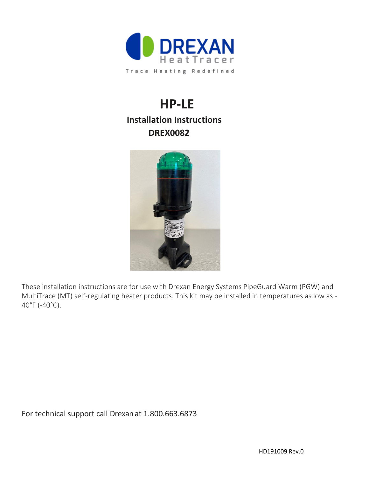

# **HP-LE Installation Instructions DREX0082**



These installation instructions are for use with Drexan Energy Systems PipeGuard Warm (PGW) and MultiTrace (MT) self-regulating heater products. This kit may be installed in temperatures as low as - 40°F (-40°C).

For technical support call Drexan at 1.800.663.6873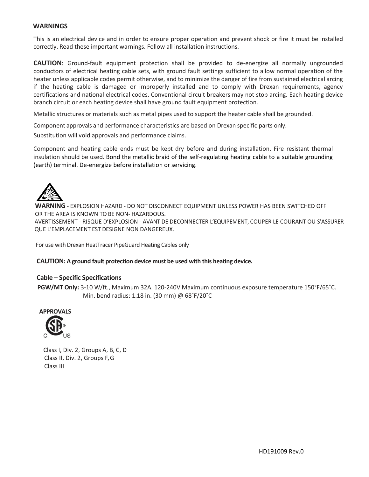#### **WARNINGS**

This is an electrical device and in order to ensure proper operation and prevent shock or fire it must be installed correctly. Read these important warnings. Follow all installation instructions.

**CAUTION**: Ground-fault equipment protection shall be provided to de-energize all normally ungrounded conductors of electrical heating cable sets, with ground fault settings sufficient to allow normal operation of the heater unless applicable codes permit otherwise, and to minimize the danger of fire from sustained electrical arcing if the heating cable is damaged or improperly installed and to comply with Drexan requirements, agency certifications and national electrical codes. Conventional circuit breakers may not stop arcing. Each heating device branch circuit or each heating device shall have ground fault equipment protection.

Metallic structures or materials such as metal pipes used to support the heater cable shall be grounded.

Component approvals and performance characteristics are based on Drexan specific parts only.

Substitution will void approvals and performance claims.

Component and heating cable ends must be kept dry before and during installation. Fire resistant thermal insulation should be used. Bond the metallic braid of the self-regulating heating cable to a suitable grounding (earth) terminal. De-energize before installation or servicing.



**WARNING** - EXPLOSION HAZARD - DO NOT DISCONNECT EQUIPMENT UNLESS POWER HAS BEEN SWITCHED OFF OR THE AREA IS KNOWN TO BE NON- HAZARDOUS. AVERTISSEMENT - RISQUE D'EXPLOSION - AVANT DE DECONNECTER L'EQUIPEMENT, COUPER LE COURANT OU S'ASSURER QUE L'EMPLACEMENT EST DESIGNE NON DANGEREUX.

For use with Drexan HeatTracer PipeGuard Heating Cables only

**CAUTION: A ground fault protection device must be used with this heating device.**

#### **Cable – Specific Specifications**

 **PGW/MT Only:** 3-10 W/ft., Maximum 32A. 120-240V Maximum continuous exposure temperature 150°F/65˚C. Min. bend radius: 1.18 in. (30 mm) @ 68˚F/20˚C



Class I, Div. 2, Groups A, B, C, D Class II, Div. 2, Groups F, G Class III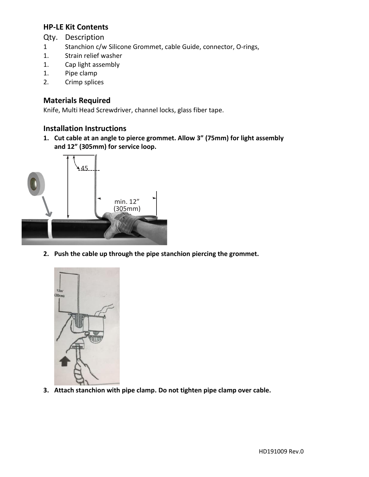## **HP-LE Kit Contents**

- Qty. Description
- 1 Stanchion c/w Silicone Grommet, cable Guide, connector, O-rings,
- 1. Strain relief washer
- 1. Cap light assembly
- 1. Pipe clamp
- 2. Crimp splices

## **Materials Required**

Knife, Multi Head Screwdriver, channel locks, glass fiber tape.

#### **Installation Instructions**

**1. Cut cable at an angle to pierce grommet. Allow 3" (75mm) for light assembly and 12" (305mm) for service loop.**



**2. Push the cable up through the pipe stanchion piercing the grommet.**



**3. Attach stanchion with pipe clamp. Do not tighten pipe clamp over cable.**